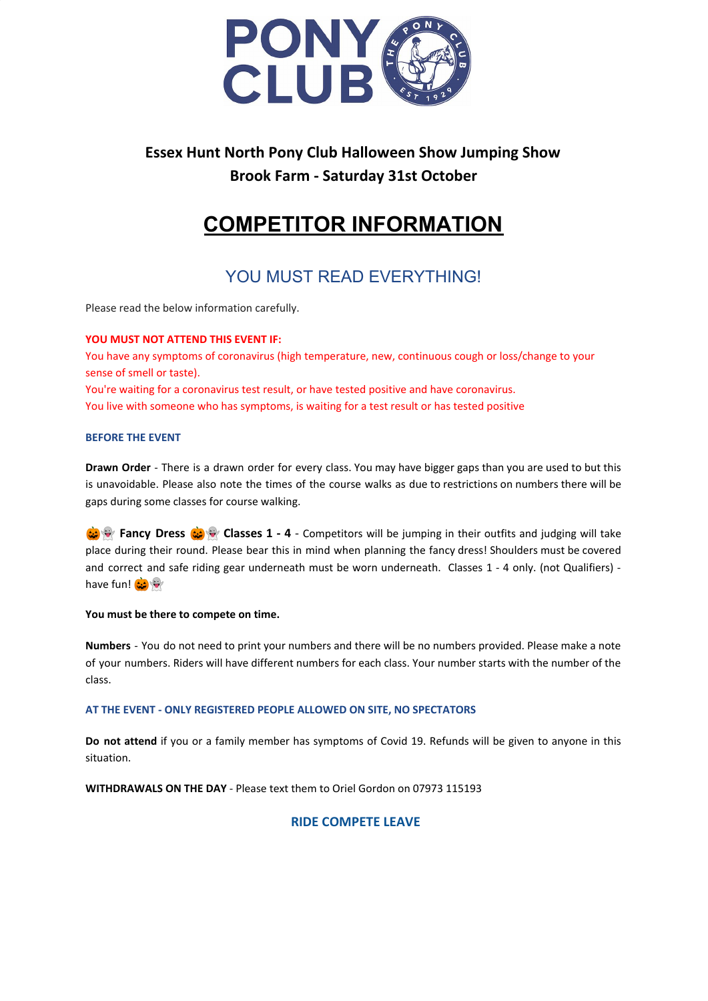

## **Essex Hunt North Pony Club Halloween Show Jumping Show Brook Farm - Saturday 31st October**

# **COMPETITOR INFORMATION**

## YOU MUST READ EVERYTHING!

Please read the below information carefully.

## **YOU MUST NOT ATTEND THIS EVENT IF:**

You have any symptoms of coronavirus (high temperature, new, continuous cough or loss/change to your sense of smell or taste). You're waiting for a coronavirus test result, or have tested positive and have coronavirus. You live with someone who has symptoms, is waiting for a test result or has tested positive

## **BEFORE THE EVENT**

**Drawn Order** - There is a drawn order for every class. You may have bigger gaps than you are used to but this is unavoidable. Please also note the times of the course walks as due to restrictions on numbers there will be gaps during some classes for course walking.

**Classes 1 - 4** - Competitors will be jumping in their outfits and judging will take place during their round. Please bear this in mind when planning the fancy dress! Shoulders must be covered and correct and safe riding gear underneath must be worn underneath. Classes 1 - 4 only. (not Qualifiers) have fun!

## **You must be there to compete on time.**

**Numbers** - You do not need to print your numbers and there will be no numbers provided. Please make a note of your numbers. Riders will have different numbers for each class. Your number starts with the number of the class.

## **AT THE EVENT - ONLY REGISTERED PEOPLE ALLOWED ON SITE, NO SPECTATORS**

**Do not attend** if you or a family member has symptoms of Covid 19. Refunds will be given to anyone in this situation.

**WITHDRAWALS ON THE DAY** - Please text them to Oriel Gordon on 07973 115193

## **RIDE COMPETE LEAVE**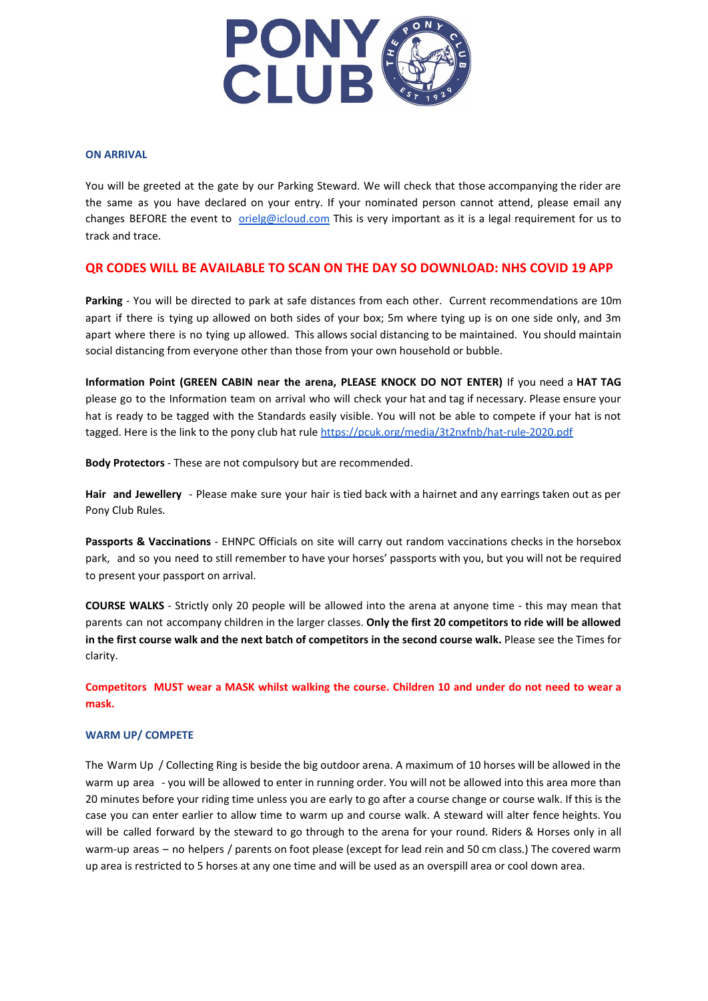

## **ON ARRIVAL**

You will be greeted at the gate by our Parking Steward. We will check that those accompanying the rider are the same as you have declared on your entry. If your nominated person cannot attend, please email any changes BEFORE the event to *[orielg@icloud.com](mailto:orielg@icloud.com)* This is very important as it is a legal requirement for us to track and trace.

## **QR CODES WILL BE AVAILABLE TO SCAN ON THE DAY SO DOWNLOAD: NHS COVID 19 APP**

**Parking** - You will be directed to park at safe distances from each other. Current recommendations are 10m apart if there is tying up allowed on both sides of your box; 5m where tying up is on one side only, and 3m apart where there is no tying up allowed. This allows social distancing to be maintained. You should maintain social distancing from everyone other than those from your own household or bubble.

**Information Point (GREEN CABIN near the arena, PLEASE KNOCK DO NOT ENTER)** If you need a **HAT TAG** please go to the Information team on arrival who will check your hat and tag if necessary. Please ensure your hat is ready to be tagged with the Standards easily visible. You will not be able to compete if your hat is not tagged. Here is the link to the pony club hat rule <https://pcuk.org/media/3t2nxfnb/hat-rule-2020.pdf>

**Body Protectors** - These are not compulsory but are recommended.

**Hair and Jewellery** - Please make sure your hair is tied back with a hairnet and any earrings taken out as per Pony Club Rules.

**Passports & Vaccinations** - EHNPC Officials on site will carry out random vaccinations checks in the horsebox park, and so you need to still remember to have your horses' passports with you, but you will not be required to present your passport on arrival.

**COURSE WALKS** - Strictly only 20 people will be allowed into the arena at anyone time - this may mean that parents can not accompany children in the larger classes. **Only the first 20 competitors to ride will be allowed in the first course walk and the next batch of competitors in the second course walk.** Please see the Times for clarity.

Competitors MUST wear a MASK whilst walking the course. Children 10 and under do not need to wear a **mask.**

#### **WARM UP/ COMPETE**

The Warm Up / Collecting Ring is beside the big outdoor arena. A maximum of 10 horses will be allowed in the warm up area - you will be allowed to enter in running order. You will not be allowed into this area more than 20 minutes before your riding time unless you are early to go after a course change or course walk. If this is the case you can enter earlier to allow time to warm up and course walk. A steward will alter fence heights. You will be called forward by the steward to go through to the arena for your round. Riders & Horses only in all warm-up areas – no helpers / parents on foot please (except for lead rein and 50 cm class.) The covered warm up area is restricted to 5 horses at any one time and will be used as an overspill area or cool down area.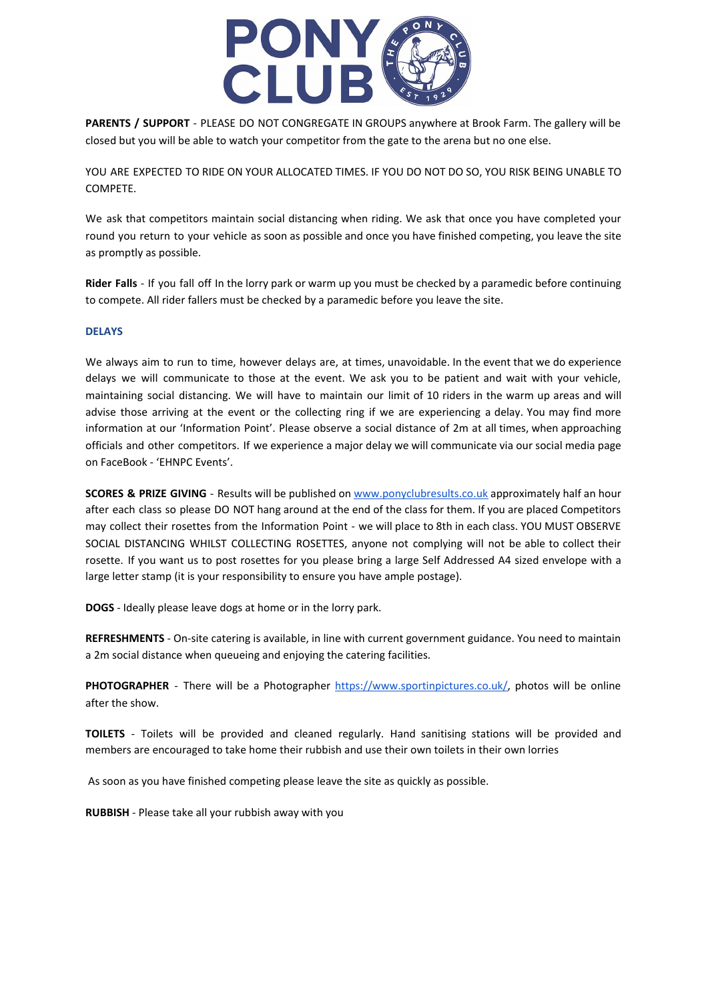

**PARENTS / SUPPORT** - PLEASE DO NOT CONGREGATE IN GROUPS anywhere at Brook Farm. The gallery will be closed but you will be able to watch your competitor from the gate to the arena but no one else.

YOU ARE EXPECTED TO RIDE ON YOUR ALLOCATED TIMES. IF YOU DO NOT DO SO, YOU RISK BEING UNABLE TO COMPETE.

We ask that competitors maintain social distancing when riding. We ask that once you have completed your round you return to your vehicle as soon as possible and once you have finished competing, you leave the site as promptly as possible.

**Rider Falls** - If you fall off In the lorry park or warm up you must be checked by a paramedic before continuing to compete. All rider fallers must be checked by a paramedic before you leave the site.

## **DELAYS**

We always aim to run to time, however delays are, at times, unavoidable. In the event that we do experience delays we will communicate to those at the event. We ask you to be patient and wait with your vehicle, maintaining social distancing. We will have to maintain our limit of 10 riders in the warm up areas and will advise those arriving at the event or the collecting ring if we are experiencing a delay. You may find more information at our 'Information Point'. Please observe a social distance of 2m at all times, when approaching officials and other competitors. If we experience a major delay we will communicate via our social media page on FaceBook - 'EHNPC Events'.

**SCORES & PRIZE GIVING** - Results will be published on [www.ponyclubresults.co.uk](http://www.ponyclubresults.co.uk/) approximately half an hour after each class so please DO NOT hang around at the end of the class for them. If you are placed Competitors may collect their rosettes from the Information Point - we will place to 8th in each class. YOU MUST OBSERVE SOCIAL DISTANCING WHILST COLLECTING ROSETTES, anyone not complying will not be able to collect their rosette. If you want us to post rosettes for you please bring a large Self Addressed A4 sized envelope with a large letter stamp (it is your responsibility to ensure you have ample postage).

**DOGS** - Ideally please leave dogs at home or in the lorry park.

**REFRESHMENTS** - On-site catering is available, in line with current government guidance. You need to maintain a 2m social distance when queueing and enjoying the catering facilities.

PHOTOGRAPHER - There will be a Photographer [https://www.sportinpictures.co.uk/,](https://www.sportinpictures.co.uk/) photos will be online after the show.

**TOILETS** - Toilets will be provided and cleaned regularly. Hand sanitising stations will be provided and members are encouraged to take home their rubbish and use their own toilets in their own lorries

As soon as you have finished competing please leave the site as quickly as possible.

**RUBBISH** - Please take all your rubbish away with you